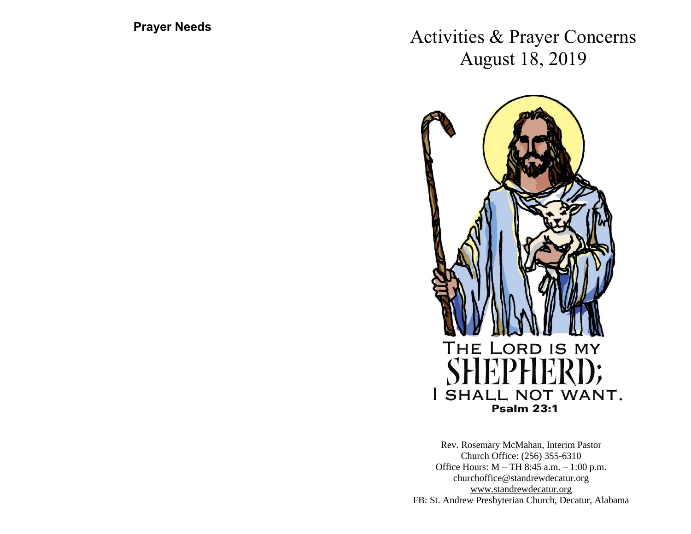**Prayer Needs**

Activities & Prayer Concerns August 18, 2019



Rev. Rosemary McMahan, Interim Pastor Church Office: (256) 355-6310 Office Hours: M – TH 8:45 a.m. – 1:00 p.m. churchoffice@standrewdecatur.org [www.standrewdecatur.](http://www.standrewdecatur/)org FB: St. Andrew Presbyterian Church, Decatur, Alabama